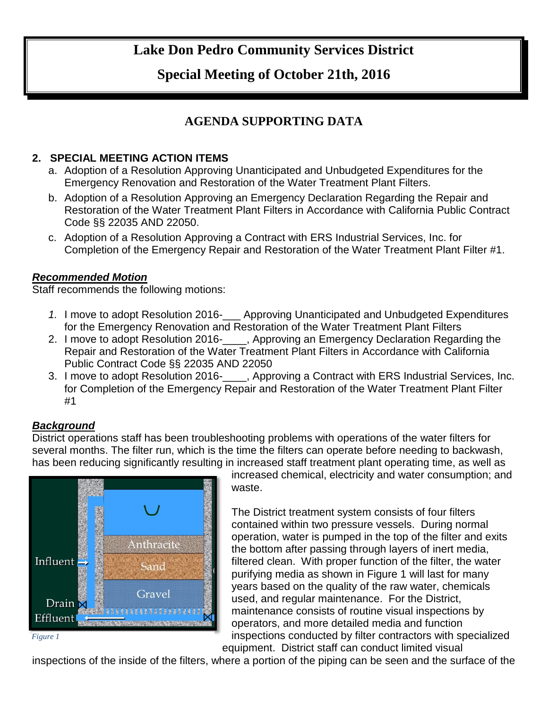# **Lake Don Pedro Community Services District**

## **Special Meeting of October 21th, 2016**

### **AGENDA SUPPORTING DATA**

#### **2. SPECIAL MEETING ACTION ITEMS**

- a. Adoption of a Resolution Approving Unanticipated and Unbudgeted Expenditures for the Emergency Renovation and Restoration of the Water Treatment Plant Filters.
- b. Adoption of a Resolution Approving an Emergency Declaration Regarding the Repair and Restoration of the Water Treatment Plant Filters in Accordance with California Public Contract Code §§ 22035 AND 22050.
- c. Adoption of a Resolution Approving a Contract with ERS Industrial Services, Inc. for Completion of the Emergency Repair and Restoration of the Water Treatment Plant Filter #1.

#### *Recommended Motion*

Staff recommends the following motions:

- *1.* I move to adopt Resolution 2016-\_\_\_ Approving Unanticipated and Unbudgeted Expenditures for the Emergency Renovation and Restoration of the Water Treatment Plant Filters
- 2. I move to adopt Resolution 2016-<sub>1, Approving an Emergency Declaration Regarding the</sub> Repair and Restoration of the Water Treatment Plant Filters in Accordance with California Public Contract Code §§ 22035 AND 22050
- 3. I move to adopt Resolution 2016-\_\_\_\_, Approving a Contract with ERS Industrial Services, Inc. for Completion of the Emergency Repair and Restoration of the Water Treatment Plant Filter #1

#### *Background*

District operations staff has been troubleshooting problems with operations of the water filters for several months. The filter run, which is the time the filters can operate before needing to backwash, has been reducing significantly resulting in increased staff treatment plant operating time, as well as



increased chemical, electricity and water consumption; and waste.

The District treatment system consists of four filters contained within two pressure vessels. During normal operation, water is pumped in the top of the filter and exits the bottom after passing through layers of inert media, filtered clean. With proper function of the filter, the water purifying media as shown in Figure 1 will last for many years based on the quality of the raw water, chemicals used, and regular maintenance. For the District, maintenance consists of routine visual inspections by operators, and more detailed media and function inspections conducted by filter contractors with specialized equipment. District staff can conduct limited visual

*Figure 1*

inspections of the inside of the filters, where a portion of the piping can be seen and the surface of the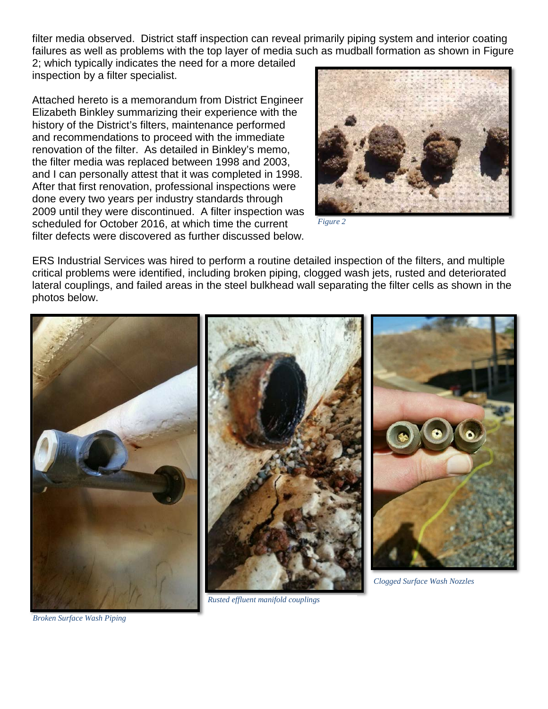filter media observed. District staff inspection can reveal primarily piping system and interior coating failures as well as problems with the top layer of media such as mudball formation as shown in Figure 2; which typically indicates the need for a more detailed inspection by a filter specialist.

Attached hereto is a memorandum from District Engineer Elizabeth Binkley summarizing their experience with the history of the District's filters, maintenance performed and recommendations to proceed with the immediate renovation of the filter. As detailed in Binkley's memo, the filter media was replaced between 1998 and 2003, and I can personally attest that it was completed in 1998. After that first renovation, professional inspections were done every two years per industry standards through 2009 until they were discontinued. A filter inspection was scheduled for October 2016, at which time the current filter defects were discovered as further discussed below.



*Figure 2*

ERS Industrial Services was hired to perform a routine detailed inspection of the filters, and multiple critical problems were identified, including broken piping, clogged wash jets, rusted and deteriorated lateral couplings, and failed areas in the steel bulkhead wall separating the filter cells as shown in the photos below.



*Broken Surface Wash Piping*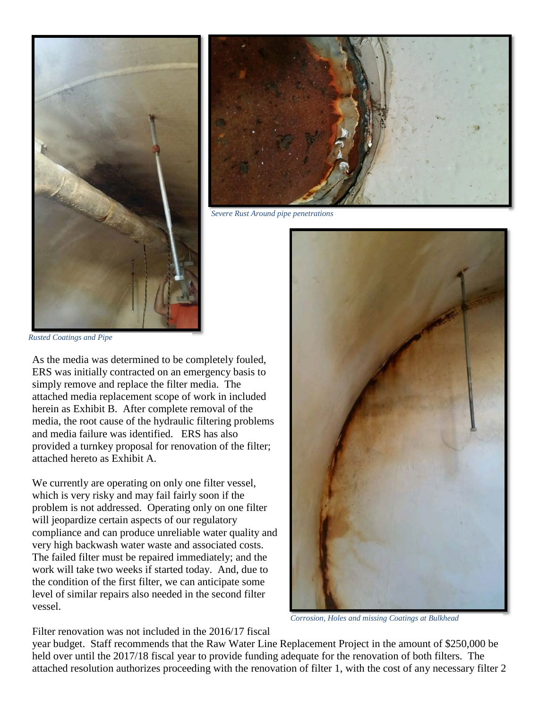



*Severe Rust Around pipe penetrations*

*Rusted Coatings and Pipe*

As the media was determined to be completely fouled, ERS was initially contracted on an emergency basis to simply remove and replace the filter media. The attached media replacement scope of work in included herein as Exhibit B. After complete removal of the media, the root cause of the hydraulic filtering problems and media failure was identified. ERS has also provided a turnkey proposal for renovation of the filter; attached hereto as Exhibit A.

We currently are operating on only one filter vessel, which is very risky and may fail fairly soon if the problem is not addressed. Operating only on one filter will jeopardize certain aspects of our regulatory compliance and can produce unreliable water quality and very high backwash water waste and associated costs. The failed filter must be repaired immediately; and the work will take two weeks if started today. And, due to the condition of the first filter, we can anticipate some level of similar repairs also needed in the second filter vessel.



*Corrosion, Holes and missing Coatings at Bulkhead*

Filter renovation was not included in the 2016/17 fiscal

year budget. Staff recommends that the Raw Water Line Replacement Project in the amount of \$250,000 be held over until the 2017/18 fiscal year to provide funding adequate for the renovation of both filters. The attached resolution authorizes proceeding with the renovation of filter 1, with the cost of any necessary filter 2